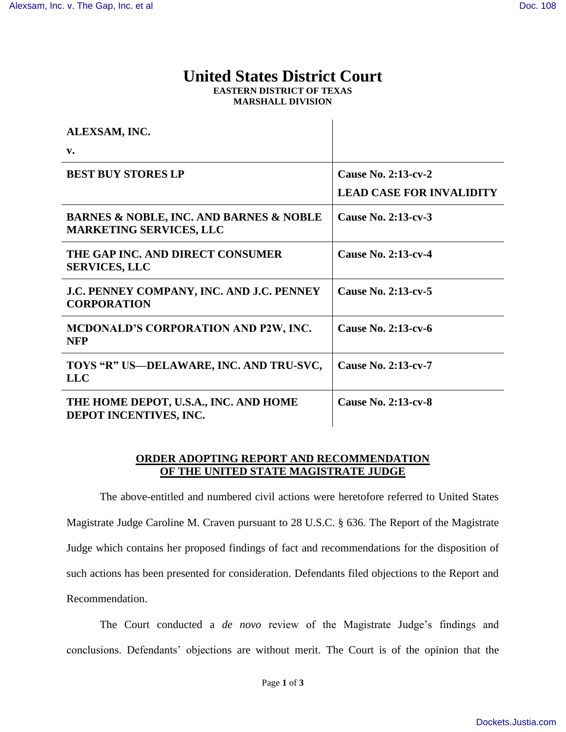## **United States District Court EASTERN DISTRICT OF TEXAS MARSHALL DIVISION**

 $\mathbf{r}$ 

| ALEXSAM, INC.                                                                            |                                 |
|------------------------------------------------------------------------------------------|---------------------------------|
| $\mathbf{v}$ .                                                                           |                                 |
| <b>BEST BUY STORES LP</b>                                                                | <b>Cause No. 2:13-cv-2</b>      |
|                                                                                          | <b>LEAD CASE FOR INVALIDITY</b> |
| <b>BARNES &amp; NOBLE, INC. AND BARNES &amp; NOBLE</b><br><b>MARKETING SERVICES, LLC</b> | Cause No. 2:13-cv-3             |
| THE GAP INC. AND DIRECT CONSUMER<br><b>SERVICES, LLC</b>                                 | <b>Cause No. 2:13-cv-4</b>      |
| J.C. PENNEY COMPANY, INC. AND J.C. PENNEY<br><b>CORPORATION</b>                          | Cause No. 2:13-cv-5             |
| MCDONALD'S CORPORATION AND P2W, INC.<br><b>NFP</b>                                       | Cause No. 2:13-cv-6             |
| TOYS "R" US—DELAWARE, INC. AND TRU-SVC,<br><b>LLC</b>                                    | <b>Cause No. 2:13-cv-7</b>      |
| THE HOME DEPOT, U.S.A., INC. AND HOME<br>DEPOT INCENTIVES, INC.                          | <b>Cause No. 2:13-cv-8</b>      |

## **ORDER ADOPTING REPORT AND RECOMMENDATION OF THE UNITED STATE MAGISTRATE JUDGE**

The above-entitled and numbered civil actions were heretofore referred to United States Magistrate Judge Caroline M. Craven pursuant to 28 U.S.C. § 636. The Report of the Magistrate Judge which contains her proposed findings of fact and recommendations for the disposition of such actions has been presented for consideration. Defendants filed objections to the Report and Recommendation.

The Court conducted a *de novo* review of the Magistrate Judge's findings and conclusions. Defendants' objections are without merit. The Court is of the opinion that the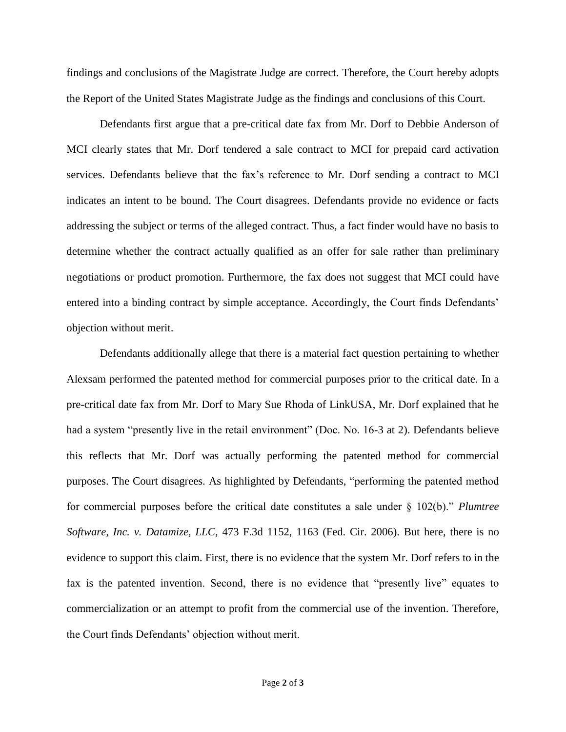findings and conclusions of the Magistrate Judge are correct. Therefore, the Court hereby adopts the Report of the United States Magistrate Judge as the findings and conclusions of this Court.

Defendants first argue that a pre-critical date fax from Mr. Dorf to Debbie Anderson of MCI clearly states that Mr. Dorf tendered a sale contract to MCI for prepaid card activation services. Defendants believe that the fax's reference to Mr. Dorf sending a contract to MCI indicates an intent to be bound. The Court disagrees. Defendants provide no evidence or facts addressing the subject or terms of the alleged contract. Thus, a fact finder would have no basis to determine whether the contract actually qualified as an offer for sale rather than preliminary negotiations or product promotion. Furthermore, the fax does not suggest that MCI could have entered into a binding contract by simple acceptance. Accordingly, the Court finds Defendants' objection without merit.

Defendants additionally allege that there is a material fact question pertaining to whether Alexsam performed the patented method for commercial purposes prior to the critical date. In a pre-critical date fax from Mr. Dorf to Mary Sue Rhoda of LinkUSA, Mr. Dorf explained that he had a system "presently live in the retail environment" (Doc. No. 16-3 at 2). Defendants believe this reflects that Mr. Dorf was actually performing the patented method for commercial purposes. The Court disagrees. As highlighted by Defendants, "performing the patented method for commercial purposes before the critical date constitutes a sale under § 102(b)." *Plumtree Software, Inc. v. Datamize, LLC*, 473 F.3d 1152, 1163 (Fed. Cir. 2006). But here, there is no evidence to support this claim. First, there is no evidence that the system Mr. Dorf refers to in the fax is the patented invention. Second, there is no evidence that "presently live" equates to commercialization or an attempt to profit from the commercial use of the invention. Therefore, the Court finds Defendants' objection without merit.